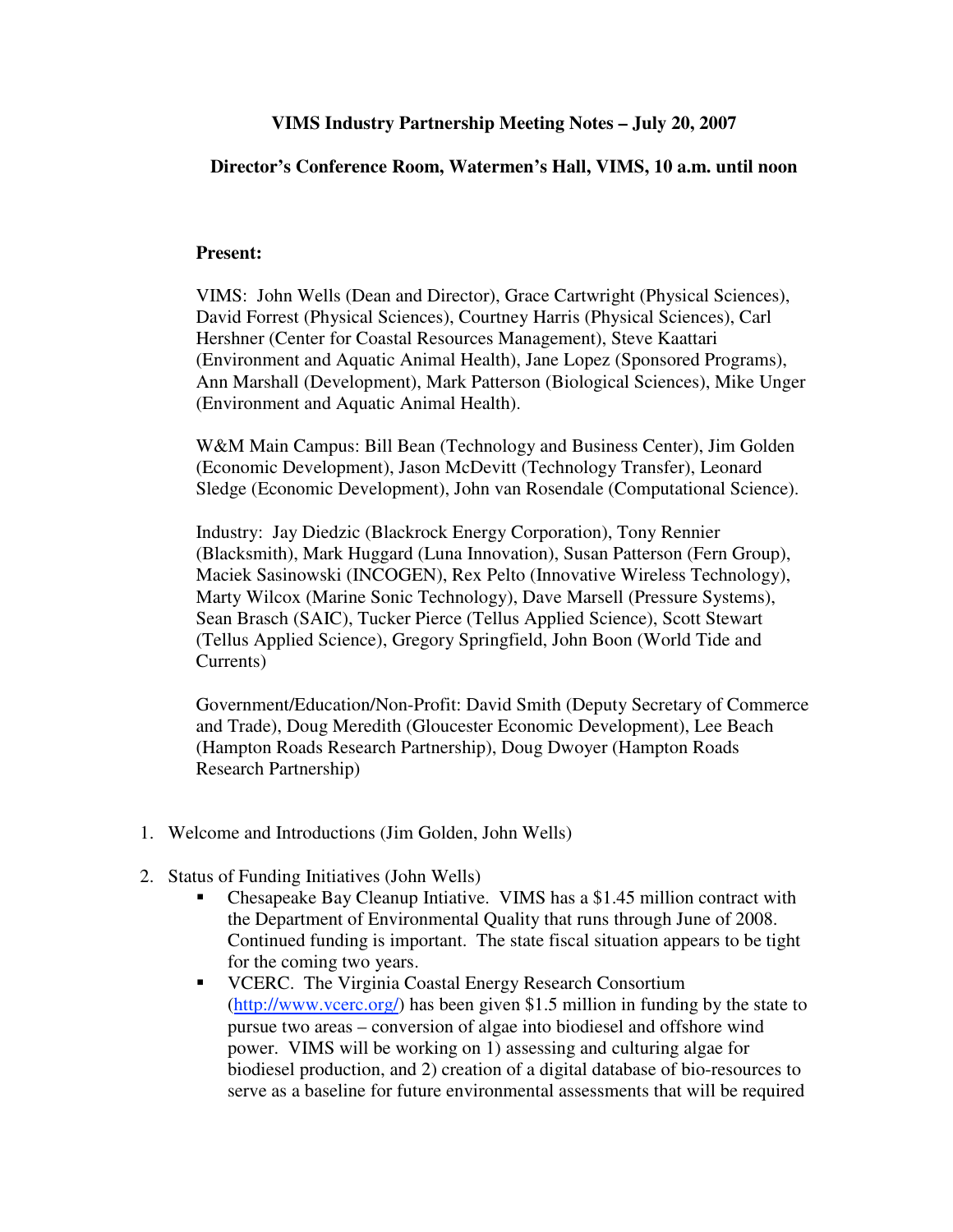## **VIMS Industry Partnership Meeting Notes – July 20, 2007**

## **Director's Conference Room, Watermen's Hall, VIMS, 10 a.m. until noon**

## **Present:**

VIMS: John Wells (Dean and Director), Grace Cartwright (Physical Sciences), David Forrest (Physical Sciences), Courtney Harris (Physical Sciences), Carl Hershner (Center for Coastal Resources Management), Steve Kaattari (Environment and Aquatic Animal Health), Jane Lopez (Sponsored Programs), Ann Marshall (Development), Mark Patterson (Biological Sciences), Mike Unger (Environment and Aquatic Animal Health).

W&M Main Campus: Bill Bean (Technology and Business Center), Jim Golden (Economic Development), Jason McDevitt (Technology Transfer), Leonard Sledge (Economic Development), John van Rosendale (Computational Science).

Industry: Jay Diedzic (Blackrock Energy Corporation), Tony Rennier (Blacksmith), Mark Huggard (Luna Innovation), Susan Patterson (Fern Group), Maciek Sasinowski (INCOGEN), Rex Pelto (Innovative Wireless Technology), Marty Wilcox (Marine Sonic Technology), Dave Marsell (Pressure Systems), Sean Brasch (SAIC), Tucker Pierce (Tellus Applied Science), Scott Stewart (Tellus Applied Science), Gregory Springfield, John Boon (World Tide and Currents)

Government/Education/Non-Profit: David Smith (Deputy Secretary of Commerce and Trade), Doug Meredith (Gloucester Economic Development), Lee Beach (Hampton Roads Research Partnership), Doug Dwoyer (Hampton Roads Research Partnership)

- 1. Welcome and Introductions (Jim Golden, John Wells)
- 2. Status of Funding Initiatives (John Wells)
	- Chesapeake Bay Cleanup Intiative. VIMS has a \$1.45 million contract with the Department of Environmental Quality that runs through June of 2008. Continued funding is important. The state fiscal situation appears to be tight for the coming two years.
	- **VCERC.** The Virginia Coastal Energy Research Consortium (http://www.vcerc.org/) has been given \$1.5 million in funding by the state to pursue two areas – conversion of algae into biodiesel and offshore wind power. VIMS will be working on 1) assessing and culturing algae for biodiesel production, and 2) creation of a digital database of bio-resources to serve as a baseline for future environmental assessments that will be required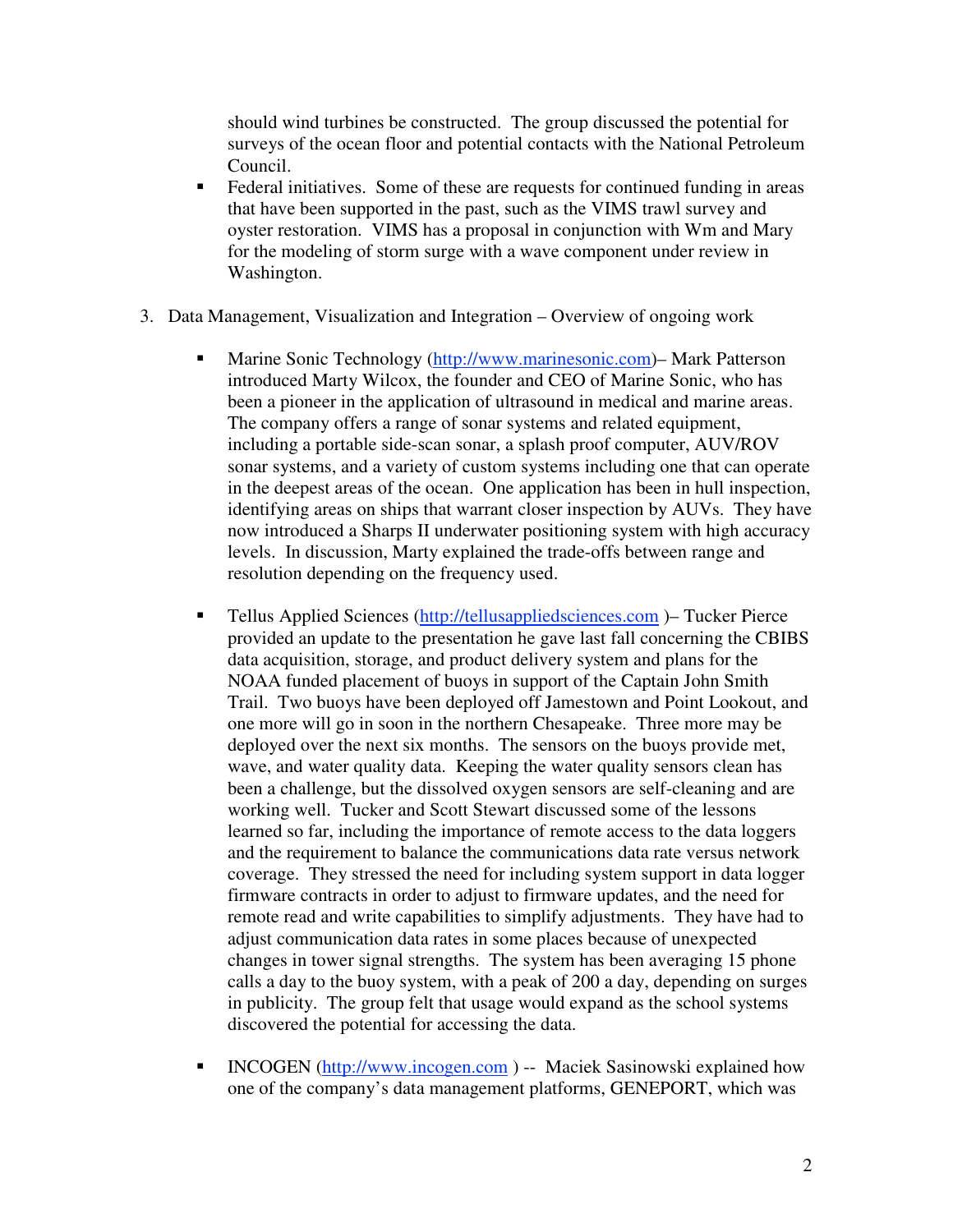should wind turbines be constructed. The group discussed the potential for surveys of the ocean floor and potential contacts with the National Petroleum Council.

- Federal initiatives. Some of these are requests for continued funding in areas that have been supported in the past, such as the VIMS trawl survey and oyster restoration. VIMS has a proposal in conjunction with Wm and Mary for the modeling of storm surge with a wave component under review in Washington.
- 3. Data Management, Visualization and Integration Overview of ongoing work
	- Marine Sonic Technology (http://www.marinesonic.com)– Mark Patterson introduced Marty Wilcox, the founder and CEO of Marine Sonic, who has been a pioneer in the application of ultrasound in medical and marine areas. The company offers a range of sonar systems and related equipment, including a portable side-scan sonar, a splash proof computer, AUV/ROV sonar systems, and a variety of custom systems including one that can operate in the deepest areas of the ocean. One application has been in hull inspection, identifying areas on ships that warrant closer inspection by AUVs. They have now introduced a Sharps II underwater positioning system with high accuracy levels. In discussion, Marty explained the trade-offs between range and resolution depending on the frequency used.
	- Tellus Applied Sciences (http://tellusappliedsciences.com )– Tucker Pierce provided an update to the presentation he gave last fall concerning the CBIBS data acquisition, storage, and product delivery system and plans for the NOAA funded placement of buoys in support of the Captain John Smith Trail. Two buoys have been deployed off Jamestown and Point Lookout, and one more will go in soon in the northern Chesapeake. Three more may be deployed over the next six months. The sensors on the buoys provide met, wave, and water quality data. Keeping the water quality sensors clean has been a challenge, but the dissolved oxygen sensors are self-cleaning and are working well. Tucker and Scott Stewart discussed some of the lessons learned so far, including the importance of remote access to the data loggers and the requirement to balance the communications data rate versus network coverage. They stressed the need for including system support in data logger firmware contracts in order to adjust to firmware updates, and the need for remote read and write capabilities to simplify adjustments. They have had to adjust communication data rates in some places because of unexpected changes in tower signal strengths. The system has been averaging 15 phone calls a day to the buoy system, with a peak of 200 a day, depending on surges in publicity. The group felt that usage would expand as the school systems discovered the potential for accessing the data.
	- INCOGEN (http://www.incogen.com ) -- Maciek Sasinowski explained how one of the company's data management platforms, GENEPORT, which was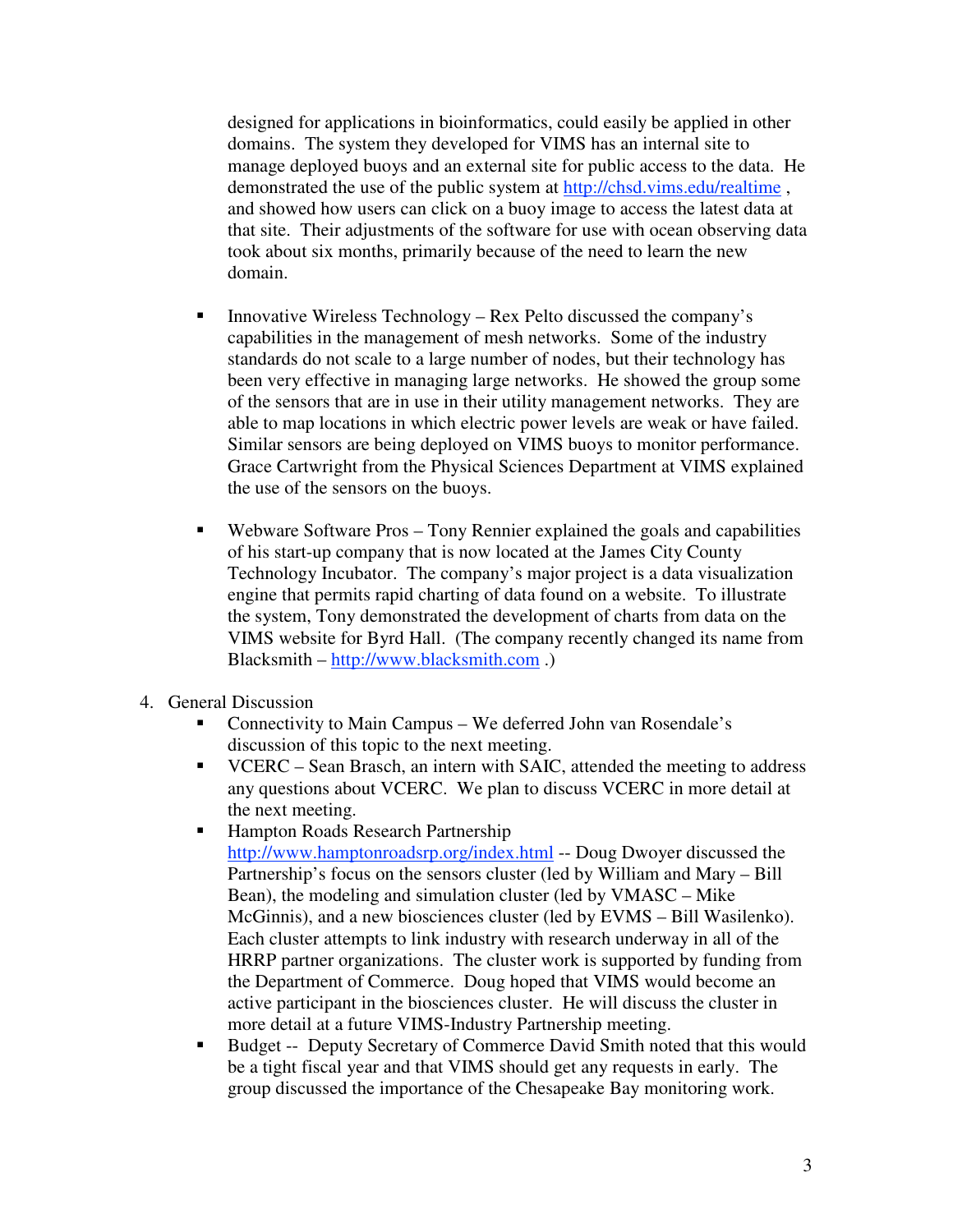designed for applications in bioinformatics, could easily be applied in other domains. The system they developed for VIMS has an internal site to manage deployed buoys and an external site for public access to the data. He demonstrated the use of the public system at http://chsd.vims.edu/realtime , and showed how users can click on a buoy image to access the latest data at that site. Their adjustments of the software for use with ocean observing data took about six months, primarily because of the need to learn the new domain.

- Innovative Wireless Technology Rex Pelto discussed the company's capabilities in the management of mesh networks. Some of the industry standards do not scale to a large number of nodes, but their technology has been very effective in managing large networks. He showed the group some of the sensors that are in use in their utility management networks. They are able to map locations in which electric power levels are weak or have failed. Similar sensors are being deployed on VIMS buoys to monitor performance. Grace Cartwright from the Physical Sciences Department at VIMS explained the use of the sensors on the buoys.
- Webware Software Pros Tony Rennier explained the goals and capabilities of his start-up company that is now located at the James City County Technology Incubator. The company's major project is a data visualization engine that permits rapid charting of data found on a website. To illustrate the system, Tony demonstrated the development of charts from data on the VIMS website for Byrd Hall. (The company recently changed its name from Blacksmith – http://www.blacksmith.com .)
- 4. General Discussion
	- Connectivity to Main Campus We deferred John van Rosendale's discussion of this topic to the next meeting.
	- VCERC Sean Brasch, an intern with SAIC, attended the meeting to address any questions about VCERC. We plan to discuss VCERC in more detail at the next meeting.
	- Hampton Roads Research Partnership http://www.hamptonroadsrp.org/index.html -- Doug Dwoyer discussed the Partnership's focus on the sensors cluster (led by William and Mary – Bill Bean), the modeling and simulation cluster (led by VMASC – Mike McGinnis), and a new biosciences cluster (led by EVMS – Bill Wasilenko). Each cluster attempts to link industry with research underway in all of the HRRP partner organizations. The cluster work is supported by funding from the Department of Commerce. Doug hoped that VIMS would become an active participant in the biosciences cluster. He will discuss the cluster in more detail at a future VIMS-Industry Partnership meeting.
	- **Budget -- Deputy Secretary of Commerce David Smith noted that this would** be a tight fiscal year and that VIMS should get any requests in early. The group discussed the importance of the Chesapeake Bay monitoring work.